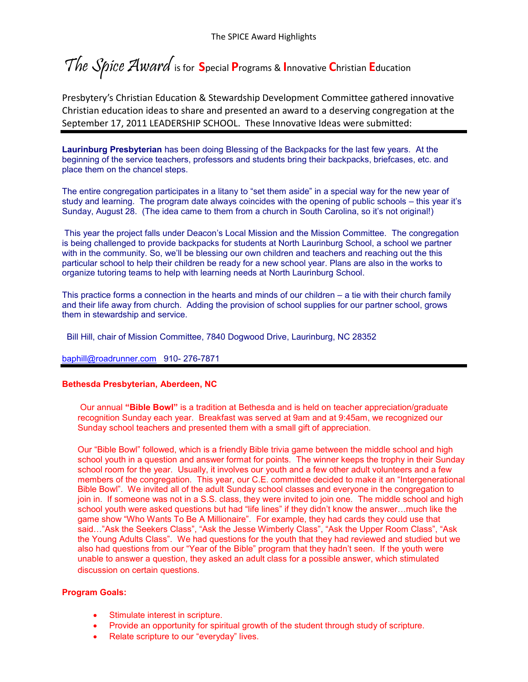The Spice Award is for **S**pecial **P**rograms & **I**nnovative **C**hristian **E**ducation

Presbytery's Christian Education & Stewardship Development Committee gathered innovative Christian education ideas to share and presented an award to a deserving congregation at the September 17, 2011 LEADERSHIP SCHOOL. These Innovative Ideas were submitted:

**Laurinburg Presbyterian** has been doing Blessing of the Backpacks for the last few years. At the beginning of the service teachers, professors and students bring their backpacks, briefcases, etc. and place them on the chancel steps.

The entire congregation participates in a litany to "set them aside" in a special way for the new year of study and learning. The program date always coincides with the opening of public schools – this year it's Sunday, August 28. (The idea came to them from a church in South Carolina, so it's not original!)

This year the project falls under Deacon's Local Mission and the Mission Committee. The congregation is being challenged to provide backpacks for students at North Laurinburg School, a school we partner with in the community. So, we'll be blessing our own children and teachers and reaching out the this particular school to help their children be ready for a new school year. Plans are also in the works to organize tutoring teams to help with learning needs at North Laurinburg School.

This practice forms a connection in the hearts and minds of our children – a tie with their church family and their life away from church. Adding the provision of school supplies for our partner school, grows them in stewardship and service.

Bill Hill, chair of Mission Committee, 7840 Dogwood Drive, Laurinburg, NC 28352

[baphill@roadrunner.com](mailto:baphill@roadrunner.com) 910- 276-7871

### **Bethesda Presbyterian, Aberdeen, NC**

Our annual **"Bible Bowl"** is a tradition at Bethesda and is held on teacher appreciation/graduate recognition Sunday each year. Breakfast was served at 9am and at 9:45am, we recognized our Sunday school teachers and presented them with a small gift of appreciation.

Our "Bible Bowl" followed, which is a friendly Bible trivia game between the middle school and high school youth in a question and answer format for points. The winner keeps the trophy in their Sunday school room for the year. Usually, it involves our youth and a few other adult volunteers and a few members of the congregation. This year, our C.E. committee decided to make it an "Intergenerational Bible Bowl". We invited all of the adult Sunday school classes and everyone in the congregation to join in. If someone was not in a S.S. class, they were invited to join one. The middle school and high school youth were asked questions but had "life lines" if they didn't know the answer…much like the game show "Who Wants To Be A Millionaire". For example, they had cards they could use that said…"Ask the Seekers Class", "Ask the Jesse Wimberly Class", "Ask the Upper Room Class", "Ask the Young Adults Class". We had questions for the youth that they had reviewed and studied but we also had questions from our "Year of the Bible" program that they hadn't seen. If the youth were unable to answer a question, they asked an adult class for a possible answer, which stimulated discussion on certain questions.

### **Program Goals:**

- Stimulate interest in scripture.
- Provide an opportunity for spiritual growth of the student through study of scripture.
- Relate scripture to our "everyday" lives.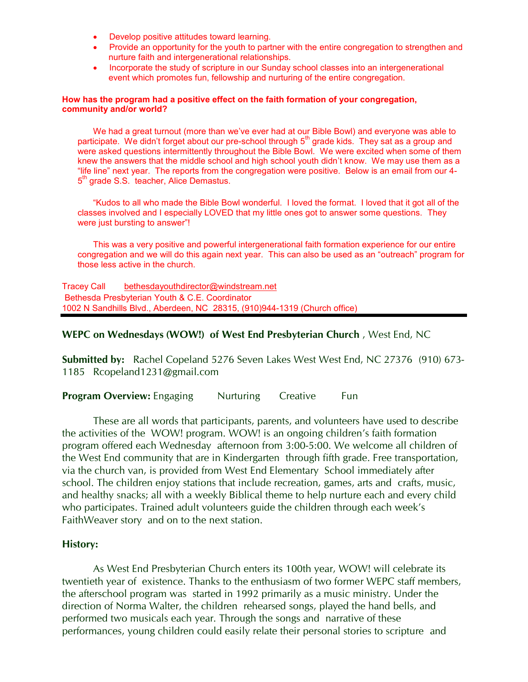- Develop positive attitudes toward learning.
- Provide an opportunity for the youth to partner with the entire congregation to strengthen and nurture faith and intergenerational relationships.
- Incorporate the study of scripture in our Sunday school classes into an intergenerational event which promotes fun, fellowship and nurturing of the entire congregation.

## **How has the program had a positive effect on the faith formation of your congregation, community and/or world?**

We had a great turnout (more than we've ever had at our Bible Bowl) and everyone was able to participate. We didn't forget about our pre-school through 5<sup>th</sup> grade kids. They sat as a group and were asked questions intermittently throughout the Bible Bowl. We were excited when some of them knew the answers that the middle school and high school youth didn't know. We may use them as a "life line" next year. The reports from the congregation were positive. Below is an email from our 4- 5<sup>th</sup> grade S.S. teacher, Alice Demastus.

"Kudos to all who made the Bible Bowl wonderful. I loved the format. I loved that it got all of the classes involved and I especially LOVED that my little ones got to answer some questions. They were just bursting to answer"!

This was a very positive and powerful intergenerational faith formation experience for our entire congregation and we will do this again next year. This can also be used as an "outreach" program for those less active in the church.

Tracey Call [bethesdayouthdirector@windstream.net](mailto:bethesdayouthdirector@windstream.net) Bethesda Presbyterian Youth & C.E. Coordinator 1002 N Sandhills Blvd., Aberdeen, NC 28315, (910)944-1319 (Church office)

# **WEPC on Wednesdays (WOW!) of West End Presbyterian Church** , West End, NC

**Submitted by:** Rachel Copeland 5276 Seven Lakes West West End, NC 27376 (910) 673- 1185 Rcopeland1231@gmail.com

**Program Overview:** Engaging Nurturing Creative Fun

These are all words that participants, parents, and volunteers have used to describe the activities of the WOW! program. WOW! is an ongoing children's faith formation program offered each Wednesday afternoon from 3:00-5:00. We welcome all children of the West End community that are in Kindergarten through fifth grade. Free transportation, via the church van, is provided from West End Elementary School immediately after school. The children enjoy stations that include recreation, games, arts and crafts, music, and healthy snacks; all with a weekly Biblical theme to help nurture each and every child who participates. Trained adult volunteers guide the children through each week's FaithWeaver story and on to the next station.

# **History:**

As West End Presbyterian Church enters its 100th year, WOW! will celebrate its twentieth year of existence. Thanks to the enthusiasm of two former WEPC staff members, the afterschool program was started in 1992 primarily as a music ministry. Under the direction of Norma Walter, the children rehearsed songs, played the hand bells, and performed two musicals each year. Through the songs and narrative of these performances, young children could easily relate their personal stories to scripture and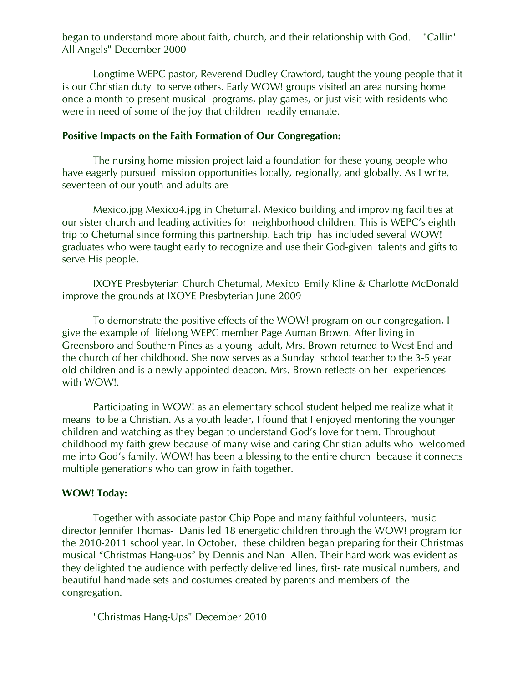began to understand more about faith, church, and their relationship with God. "Callin' All Angels" December 2000

Longtime WEPC pastor, Reverend Dudley Crawford, taught the young people that it is our Christian duty to serve others. Early WOW! groups visited an area nursing home once a month to present musical programs, play games, or just visit with residents who were in need of some of the joy that children readily emanate.

# **Positive Impacts on the Faith Formation of Our Congregation:**

The nursing home mission project laid a foundation for these young people who have eagerly pursued mission opportunities locally, regionally, and globally. As I write, seventeen of our youth and adults are

Mexico.jpg Mexico4.jpg in Chetumal, Mexico building and improving facilities at our sister church and leading activities for neighborhood children. This is WEPC's eighth trip to Chetumal since forming this partnership. Each trip has included several WOW! graduates who were taught early to recognize and use their God-given talents and gifts to serve His people.

IXOYE Presbyterian Church Chetumal, Mexico Emily Kline & Charlotte McDonald improve the grounds at IXOYE Presbyterian June 2009

To demonstrate the positive effects of the WOW! program on our congregation, I give the example of lifelong WEPC member Page Auman Brown. After living in Greensboro and Southern Pines as a young adult, Mrs. Brown returned to West End and the church of her childhood. She now serves as a Sunday school teacher to the 3-5 year old children and is a newly appointed deacon. Mrs. Brown reflects on her experiences with WOW!.

Participating in WOW! as an elementary school student helped me realize what it means to be a Christian. As a youth leader, I found that I enjoyed mentoring the younger children and watching as they began to understand God's love for them. Throughout childhood my faith grew because of many wise and caring Christian adults who welcomed me into God's family. WOW! has been a blessing to the entire church because it connects multiple generations who can grow in faith together.

# **WOW! Today:**

Together with associate pastor Chip Pope and many faithful volunteers, music director Jennifer Thomas- Danis led 18 energetic children through the WOW! program for the 2010-2011 school year. In October, these children began preparing for their Christmas musical "Christmas Hang-ups" by Dennis and Nan Allen. Their hard work was evident as they delighted the audience with perfectly delivered lines, first- rate musical numbers, and beautiful handmade sets and costumes created by parents and members of the congregation.

"Christmas Hang-Ups" December 2010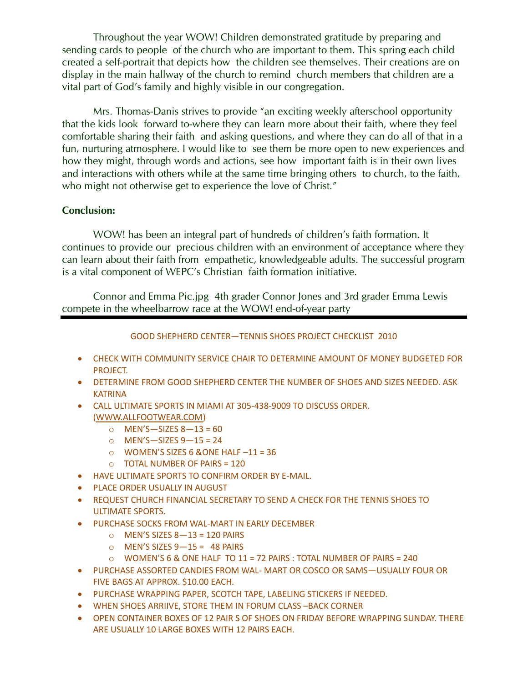Throughout the year WOW! Children demonstrated gratitude by preparing and sending cards to people of the church who are important to them. This spring each child created a self-portrait that depicts how the children see themselves. Their creations are on display in the main hallway of the church to remind church members that children are a vital part of God's family and highly visible in our congregation.

Mrs. Thomas-Danis strives to provide "an exciting weekly afterschool opportunity that the kids look forward to-where they can learn more about their faith, where they feel comfortable sharing their faith and asking questions, and where they can do all of that in a fun, nurturing atmosphere. I would like to see them be more open to new experiences and how they might, through words and actions, see how important faith is in their own lives and interactions with others while at the same time bringing others to church, to the faith, who might not otherwise get to experience the love of Christ."

# **Conclusion:**

WOW! has been an integral part of hundreds of children's faith formation. It continues to provide our precious children with an environment of acceptance where they can learn about their faith from empathetic, knowledgeable adults. The successful program is a vital component of WEPC's Christian faith formation initiative.

Connor and Emma Pic.jpg 4th grader Connor Jones and 3rd grader Emma Lewis compete in the wheelbarrow race at the WOW! end-of-year party

# GOOD SHEPHERD CENTER—TENNIS SHOES PROJECT CHECKLIST 2010

- CHECK WITH COMMUNITY SERVICE CHAIR TO DETERMINE AMOUNT OF MONEY BUDGETED FOR PROJECT.
- DETERMINE FROM GOOD SHEPHERD CENTER THE NUMBER OF SHOES AND SIZES NEEDED. ASK KATRINA
- CALL ULTIMATE SPORTS IN MIAMI AT 305-438-9009 TO DISCUSS ORDER. [\(WWW.ALLFOOTWEAR.COM\)](http://www.allfootwear.com/)
	- o MEN'S—SIZES 8—13 = 60
	- o MEN'S—SIZES 9—15 = 24
	- $\circ$  WOMEN'S SIZES 6 &ONE HALF  $-11 = 36$
	- o TOTAL NUMBER OF PAIRS = 120
- HAVE ULTIMATE SPORTS TO CONFIRM ORDER BY E-MAIL.
- **PLACE ORDER USUALLY IN AUGUST**
- REQUEST CHURCH FINANCIAL SECRETARY TO SEND A CHECK FOR THE TENNIS SHOES TO ULTIMATE SPORTS.
- PURCHASE SOCKS FROM WAL-MART IN EARLY DECEMBER
	- $\circ$  MEN'S SIZES 8-13 = 120 PAIRS
	- $\circ$  MEN'S SIZES 9-15 = 48 PAIRS
	- $\circ$  WOMEN'S 6 & ONE HALF TO 11 = 72 PAIRS : TOTAL NUMBER OF PAIRS = 240
- PURCHASE ASSORTED CANDIES FROM WAL- MART OR COSCO OR SAMS—USUALLY FOUR OR FIVE BAGS AT APPROX. \$10.00 EACH.
- PURCHASE WRAPPING PAPER, SCOTCH TAPE, LABELING STICKERS IF NEEDED.
- WHEN SHOES ARRIIVE, STORE THEM IN FORUM CLASS –BACK CORNER
- OPEN CONTAINER BOXES OF 12 PAIR S OF SHOES ON FRIDAY BEFORE WRAPPING SUNDAY. THERE ARE USUALLY 10 LARGE BOXES WITH 12 PAIRS EACH.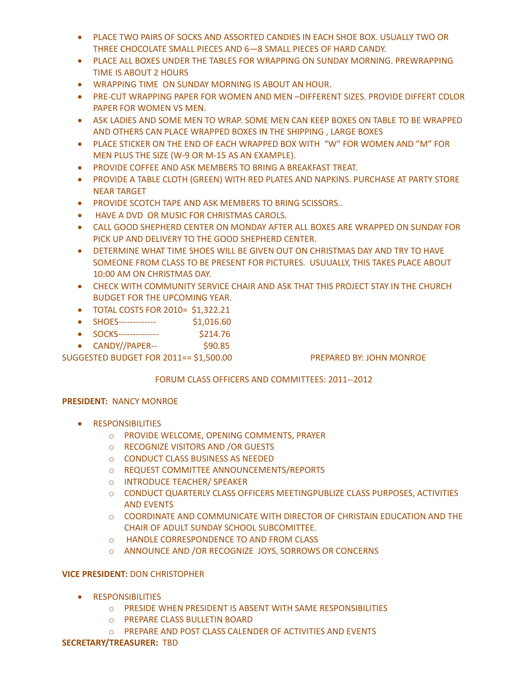- PLACE TWO PAIRS OF SOCKS AND ASSORTED CANDIES IN EACH SHOE BOX. USUALLY TWO OR THREE CHOCOLATE SMALL PIECES AND 6—8 SMALL PIECES OF HARD CANDY.
- PLACE ALL BOXES UNDER THE TABLES FOR WRAPPING ON SUNDAY MORNING. PREWRAPPING TIME IS ABOUT 2 HOURS
- WRAPPING TIME ON SUNDAY MORNING IS ABOUT AN HOUR.
- PRE-CUT WRAPPING PAPER FOR WOMEN AND MEN –DIFFERENT SIZES. PROVIDE DIFFERT COLOR PAPER FOR WOMEN VS MEN.
- ASK LADIES AND SOME MEN TO WRAP. SOME MEN CAN KEEP BOXES ON TABLE TO BE WRAPPED AND OTHERS CAN PLACE WRAPPED BOXES IN THE SHIPPING , LARGE BOXES
- PLACE STICKER ON THE END OF EACH WRAPPED BOX WITH "W" FOR WOMEN AND "M" FOR MEN PLUS THE SIZE (W-9 OR M-15 AS AN EXAMPLE).
- PROVIDE COFFEE AND ASK MEMBERS TO BRING A BREAKFAST TREAT.
- PROVIDE A TABLE CLOTH (GREEN) WITH RED PLATES AND NAPKINS. PURCHASE AT PARTY STORE NEAR TARGET
- **PROVIDE SCOTCH TAPE AND ASK MEMBERS TO BRING SCISSORS..**
- HAVE A DVD OR MUSIC FOR CHRISTMAS CAROLS.
- CALL GOOD SHEPHERD CENTER ON MONDAY AFTER ALL BOXES ARE WRAPPED ON SUNDAY FOR PICK UP AND DELIVERY TO THE GOOD SHEPHERD CENTER.
- DETERMINE WHAT TIME SHOES WILL BE GIVEN OUT ON CHRISTMAS DAY AND TRY TO HAVE SOMEONE FROM CLASS TO BE PRESENT FOR PICTURES. USUUALLY, THIS TAKES PLACE ABOUT 10:00 AM ON CHRISTMAS DAY.
- CHECK WITH COMMUNITY SERVICE CHAIR AND ASK THAT THIS PROJECT STAY IN THE CHURCH BUDGET FOR THE UPCOMING YEAR.
- TOTAL COSTS FOR 2010= \$1,322.21
- SHOES------------------------ \$1,016.60
- SOCKS-------------- \$214.76
- $\bullet$  CANDY//PAPER--  $\frac{$90.85}{90.85}$

SUGGESTED BUDGET FOR 2011== \$1,500.00 PREPARED BY: JOHN MONROE

# FORUM CLASS OFFICERS AND COMMITTEES: 2011--2012

## **PRESIDENT:** NANCY MONROE

- **•** RESPONSIBILITIES
	- o PROVIDE WELCOME, OPENING COMMENTS, PRAYER
	- o RECOGNIZE VISITORS AND /OR GUESTS
	- o CONDUCT CLASS BUSINESS AS NEEDED
	- o REQUEST COMMITTEE ANNOUNCEMENTS/REPORTS
	- o INTRODUCE TEACHER/ SPEAKER
	- o CONDUCT QUARTERLY CLASS OFFICERS MEETINGPUBLIZE CLASS PURPOSES, ACTIVITIES AND EVENTS
	- o COORDINATE AND COMMUNICATE WITH DIRECTOR OF CHRISTAIN EDUCATION AND THE CHAIR OF ADULT SUNDAY SCHOOL SUBCOMITTEE.
	- o HANDLE CORRESPONDENCE TO AND FROM CLASS
	- o ANNOUNCE AND /OR RECOGNIZE JOYS, SORROWS OR CONCERNS

## **VICE PRESIDENT:** DON CHRISTOPHER

- **•** RESPONSIBILITIES
	- o PRESIDE WHEN PRESIDENT IS ABSENT WITH SAME RESPONSIBILITIES
	- o PREPARE CLASS BULLETIN BOARD
	- o PREPARE AND POST CLASS CALENDER OF ACTIVITIES AND EVENTS

### **SECRETARY/TREASURER:** TBD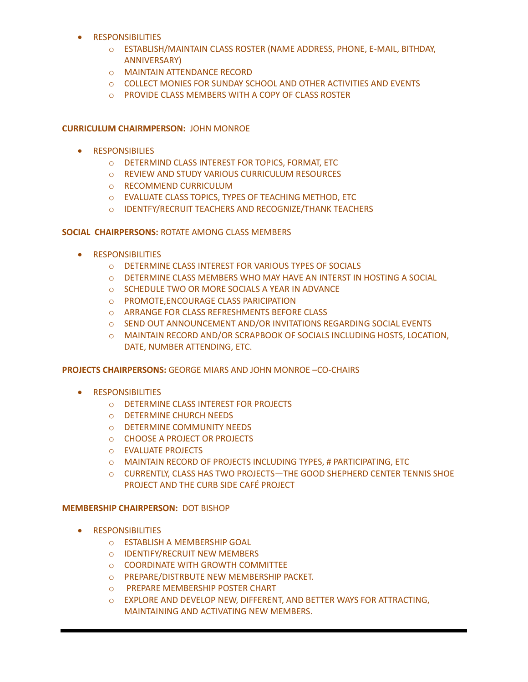- **•** RESPONSIBILITIES
	- o ESTABLISH/MAINTAIN CLASS ROSTER (NAME ADDRESS, PHONE, E-MAIL, BITHDAY, ANNIVERSARY)
	- o MAINTAIN ATTENDANCE RECORD
	- o COLLECT MONIES FOR SUNDAY SCHOOL AND OTHER ACTIVITIES AND EVENTS
	- o PROVIDE CLASS MEMBERS WITH A COPY OF CLASS ROSTER

## **CURRICULUM CHAIRMPERSON:** JOHN MONROE

- **•** RESPONSIBILIES
	- o DETERMIND CLASS INTEREST FOR TOPICS, FORMAT, ETC
	- o REVIEW AND STUDY VARIOUS CURRICULUM RESOURCES
	- o RECOMMEND CURRICULUM
	- o EVALUATE CLASS TOPICS, TYPES OF TEACHING METHOD, ETC
	- o IDENTFY/RECRUIT TEACHERS AND RECOGNIZE/THANK TEACHERS

## **SOCIAL CHAIRPERSONS:** ROTATE AMONG CLASS MEMBERS

- **•** RESPONSIBILITIES
	- o DETERMINE CLASS INTEREST FOR VARIOUS TYPES OF SOCIALS
	- o DETERMINE CLASS MEMBERS WHO MAY HAVE AN INTERST IN HOSTING A SOCIAL
	- o SCHEDULE TWO OR MORE SOCIALS A YEAR IN ADVANCE
	- o PROMOTE,ENCOURAGE CLASS PARICIPATION
	- o ARRANGE FOR CLASS REFRESHMENTS BEFORE CLASS
	- o SEND OUT ANNOUNCEMENT AND/OR INVITATIONS REGARDING SOCIAL EVENTS
	- o MAINTAIN RECORD AND/OR SCRAPBOOK OF SOCIALS INCLUDING HOSTS, LOCATION, DATE, NUMBER ATTENDING, ETC.

### **PROJECTS CHAIRPERSONS:** GEORGE MIARS AND JOHN MONROE –CO-CHAIRS

- **RESPONSIBILITIES** 
	- o DETERMINE CLASS INTEREST FOR PROJECTS
	- o DETERMINE CHURCH NEEDS
	- o DETERMINE COMMUNITY NEEDS
	- o CHOOSE A PROJECT OR PROJECTS
	- o EVALUATE PROJECTS
	- o MAINTAIN RECORD OF PROJECTS INCLUDING TYPES, # PARTICIPATING, ETC
	- o CURRENTLY, CLASS HAS TWO PROJECTS—THE GOOD SHEPHERD CENTER TENNIS SHOE PROJECT AND THE CURB SIDE CAFÉ PROJECT

## **MEMBERSHIP CHAIRPERSON:** DOT BISHOP

- **RESPONSIBILITIES** 
	- o ESTABLISH A MEMBERSHIP GOAL
	- o IDENTIFY/RECRUIT NEW MEMBERS
	- o COORDINATE WITH GROWTH COMMITTEE
	- o PREPARE/DISTRBUTE NEW MEMBERSHIP PACKET.
	- o PREPARE MEMBERSHIP POSTER CHART
	- o EXPLORE AND DEVELOP NEW, DIFFERENT, AND BETTER WAYS FOR ATTRACTING, MAINTAINING AND ACTIVATING NEW MEMBERS.